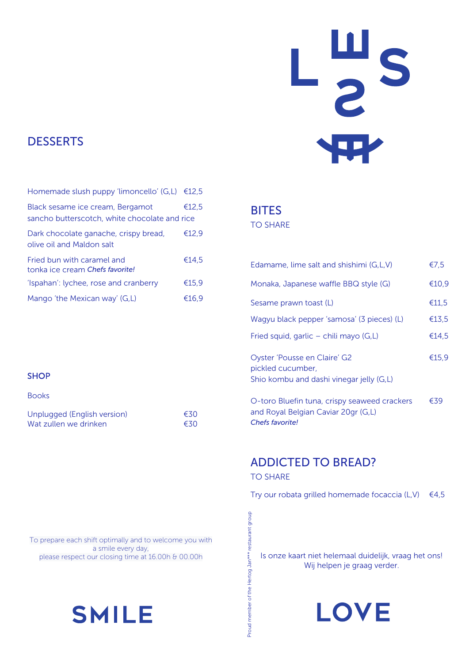# **DESSERTS**

| Homemade slush puppy 'limoncello' $(G,L)$ $\in$ 12,5                              |       |
|-----------------------------------------------------------------------------------|-------|
| Black sesame ice cream, Bergamot<br>sancho butterscotch, white chocolate and rice | €12.5 |
| Dark chocolate ganache, crispy bread,<br>olive oil and Maldon salt                | €12,9 |
| Fried bun with caramel and<br>tonka ice cream Chefs favorite!                     | €14.5 |
| 'Ispahan': lychee, rose and cranberry                                             | €15,9 |
| Mango 'the Mexican way' (G,L)                                                     | €16.9 |

#### **SHOP**

| Unplugged (English version) | €30 |
|-----------------------------|-----|
| Wat zullen we drinken.      | €30 |

W

### BITES

TO SHARE

| Edamame, lime salt and shishimi (G,L,V)                                                                       | €7,5  |
|---------------------------------------------------------------------------------------------------------------|-------|
| Monaka, Japanese waffle BBQ style (G)                                                                         | €10,9 |
| Sesame prawn toast (L)                                                                                        | €11,5 |
| Wagyu black pepper 'samosa' (3 pieces) (L)                                                                    | €13,5 |
| Fried squid, garlic – chili mayo $(G,L)$                                                                      | €14,5 |
| Oyster 'Pousse en Claire' G2<br>pickled cucumber,<br>Shio kombu and dashi vinegar jelly (G,L)                 | €15,9 |
| O-toro Bluefin tuna, crispy seaweed crackers<br>and Royal Belgian Caviar 20gr (G,L)<br><b>Chefs favorite!</b> | €39   |

### ADDICTED TO BREAD? TO SHARE

Proud member of the Hertog Jan\*\*\* restaurant group

Proud member of the Hertog Jan<sup>\*\*\*</sup> restaurant group

Try our robata grilled homemade focaccia (L,V)  $\epsilon$ 4,5

To prepare each shift optimally and to welcome you with a smile every day, please respect our closing time at 16.00h & 00.00h



Is onze kaart niet helemaal duidelijk, vraag het ons! Wij helpen je graag verder.